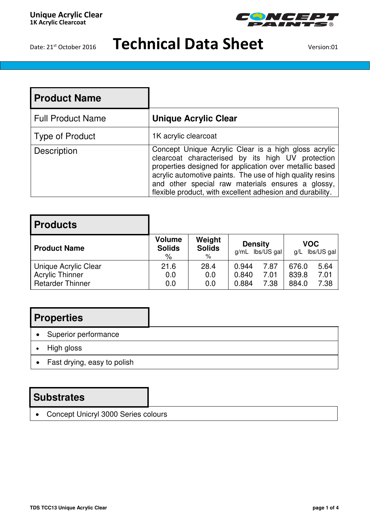

| l Product Name           |                                                                                                                                                                                                                                                                                                                                                     |
|--------------------------|-----------------------------------------------------------------------------------------------------------------------------------------------------------------------------------------------------------------------------------------------------------------------------------------------------------------------------------------------------|
| <b>Full Product Name</b> | <b>Unique Acrylic Clear</b>                                                                                                                                                                                                                                                                                                                         |
| <b>Type of Product</b>   | 1K acrylic clearcoat                                                                                                                                                                                                                                                                                                                                |
| Description              | Concept Unique Acrylic Clear is a high gloss acrylic<br>clearcoat characterised by its high UV protection<br>properties designed for application over metallic based<br>acrylic automotive paints. The use of high quality resins<br>and other special raw materials ensures a glossy,<br>flexible product, with excellent adhesion and durability. |

| <b>Products</b>                                                           |                                     |                              |                         |                                     |                         |                      |
|---------------------------------------------------------------------------|-------------------------------------|------------------------------|-------------------------|-------------------------------------|-------------------------|----------------------|
| <b>Product Name</b>                                                       | <b>Volume</b><br><b>Solids</b><br>% | Weight<br><b>Solids</b><br>% |                         | <b>Density</b><br>$g/mL$ lbs/US gal | VOC                     | $g/L$ lbs/US gal     |
| Unique Acrylic Clear<br><b>Acrylic Thinner</b><br><b>Retarder Thinner</b> | 21.6<br>0.0<br>0.0                  | 28.4<br>0.0<br>0.0           | 0.944<br>0.840<br>0.884 | 7.87<br>7.01<br>7.38                | 676.0<br>839.8<br>884.0 | 5.64<br>7.01<br>7.38 |

## **Properties**

- Superior performance
- High gloss
- Fast drying, easy to polish

### **Substrates**

Concept Unicryl 3000 Series colours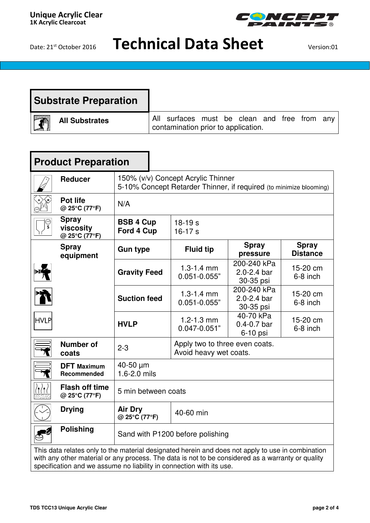

| Substrate Preparation                            |                                                                                     |  |
|--------------------------------------------------|-------------------------------------------------------------------------------------|--|
| $\overline{\mathbf{r}}$<br><b>All Substrates</b> | All surfaces must be clean and free from any<br>contamination prior to application. |  |

| <b>Product Preparation</b>                                                                                                                                                                             |                                            |                                                                                                          |                                                          |                                            |                                 |  |
|--------------------------------------------------------------------------------------------------------------------------------------------------------------------------------------------------------|--------------------------------------------|----------------------------------------------------------------------------------------------------------|----------------------------------------------------------|--------------------------------------------|---------------------------------|--|
|                                                                                                                                                                                                        | <b>Reducer</b>                             | 150% (v/v) Concept Acrylic Thinner<br>5-10% Concept Retarder Thinner, if required (to minimize blooming) |                                                          |                                            |                                 |  |
|                                                                                                                                                                                                        | <b>Pot life</b><br>@ 25°C (77°F)           | N/A                                                                                                      |                                                          |                                            |                                 |  |
| ္ပ                                                                                                                                                                                                     | <b>Spray</b><br>viscosity<br>@ 25°C (77°F) | <b>BSB 4 Cup</b><br>Ford 4 Cup                                                                           | $18-19 s$<br>$16-17 s$                                   |                                            |                                 |  |
|                                                                                                                                                                                                        | <b>Spray</b><br>equipment                  | <b>Gun type</b>                                                                                          | <b>Spray</b><br><b>Fluid tip</b><br>pressure             |                                            | <b>Spray</b><br><b>Distance</b> |  |
|                                                                                                                                                                                                        |                                            | <b>Gravity Feed</b>                                                                                      | $1.3 - 1.4$ mm<br>$0.051 - 0.055"$                       | 200-240 kPa<br>2.0-2.4 bar<br>30-35 psi    | 15-20 cm<br>6-8 inch            |  |
|                                                                                                                                                                                                        |                                            | <b>Suction feed</b>                                                                                      | $1.3 - 1.4$ mm<br>$0.051 - 0.055"$                       | 200-240 kPa<br>2.0-2.4 bar<br>30-35 psi    | 15-20 cm<br>6-8 inch            |  |
| <b>HVLP</b>                                                                                                                                                                                            |                                            | <b>HVLP</b>                                                                                              | $1.2 - 1.3$ mm<br>$0.047 - 0.051"$                       | 40-70 kPa<br>$0.4 - 0.7$ bar<br>$6-10$ psi | 15-20 cm<br>6-8 inch            |  |
|                                                                                                                                                                                                        | <b>Number of</b><br>coats                  | $2 - 3$                                                                                                  | Apply two to three even coats.<br>Avoid heavy wet coats. |                                            |                                 |  |
|                                                                                                                                                                                                        | <b>DFT</b> Maximum<br>Recommended          | 40-50 µm<br>1.6-2.0 mils                                                                                 |                                                          |                                            |                                 |  |
|                                                                                                                                                                                                        | <b>Flash off time</b><br>@ 25°C (77°F)     | 5 min between coats                                                                                      |                                                          |                                            |                                 |  |
|                                                                                                                                                                                                        | <b>Drying</b>                              | <b>Air Dry</b><br>@ 25°C (77°F)                                                                          | 40-60 min                                                |                                            |                                 |  |
|                                                                                                                                                                                                        | <b>Polishing</b>                           | Sand with P1200 before polishing                                                                         |                                                          |                                            |                                 |  |
| This data relates only to the material designated herein and does not apply to use in combination<br>with any other material or any process. The data is not to be considered as a warranty or quality |                                            |                                                                                                          |                                                          |                                            |                                 |  |

specification and we assume no liability in connection with its use.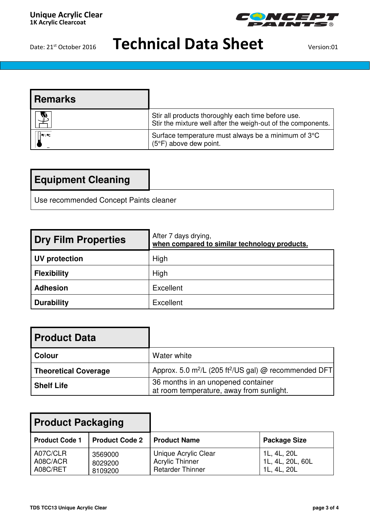

| <b>Remarks</b> |                                                                                                                    |
|----------------|--------------------------------------------------------------------------------------------------------------------|
| W)             | Stir all products thoroughly each time before use.<br>Stir the mixture well after the weigh-out of the components. |
| $= 10F / 10C$  | Surface temperature must always be a minimum of 3°C<br>$(5^{\circ}F)$ above dew point.                             |

## **Equipment Cleaning**

Use recommended Concept Paints cleaner

| Dry Film Properties | After 7 days drying,<br>when compared to similar technology products. |
|---------------------|-----------------------------------------------------------------------|
| UV protection       | High                                                                  |
| <b>Flexibility</b>  | High                                                                  |
| <b>Adhesion</b>     | Excellent                                                             |
| <b>Durability</b>   | Excellent                                                             |

| <b>Product Data</b>         |                                                                                |  |
|-----------------------------|--------------------------------------------------------------------------------|--|
| <b>Colour</b>               | Water white                                                                    |  |
| <b>Theoretical Coverage</b> | Approx. 5.0 m <sup>2</sup> /L (205 ft <sup>2</sup> /US gal) @ recommended DFT  |  |
| <b>Shelf Life</b>           | 36 months in an unopened container<br>at room temperature, away from sunlight. |  |

| <b>Product Packaging</b>         |                               |                                                                           |                                                |
|----------------------------------|-------------------------------|---------------------------------------------------------------------------|------------------------------------------------|
| <b>Product Code 1</b>            | <b>Product Code 2</b>         | <b>Product Name</b>                                                       | <b>Package Size</b>                            |
| A07C/CLR<br>A08C/ACR<br>A08C/RET | 3569000<br>8029200<br>8109200 | Unique Acrylic Clear<br><b>Acrylic Thinner</b><br><b>Retarder Thinner</b> | 1L, 4L, 20L<br>1L, 4L, 20L, 60L<br>1L, 4L, 20L |